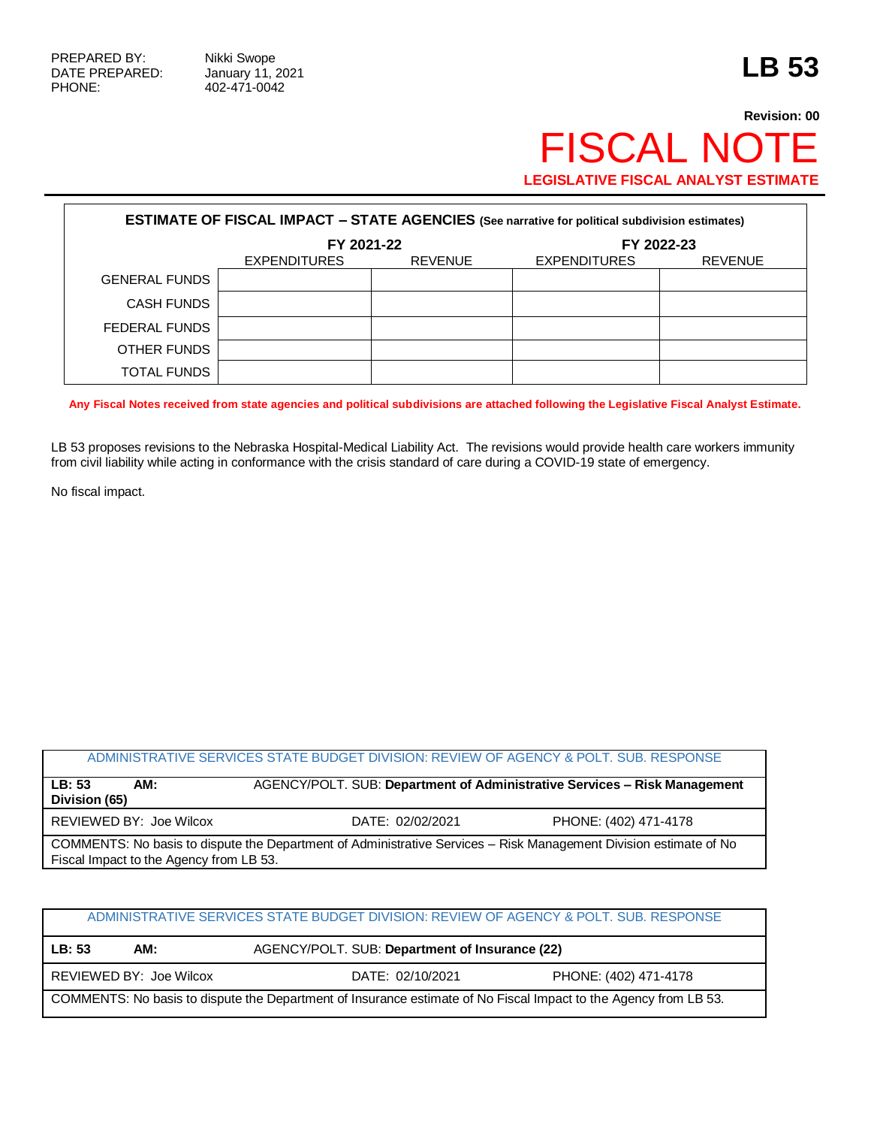## **Revision: 00 FISCAL NOT LEGISLATIVE FISCAL ANALYST ESTIMATE**

| <b>ESTIMATE OF FISCAL IMPACT - STATE AGENCIES (See narrative for political subdivision estimates)</b> |              |                |                     |                |
|-------------------------------------------------------------------------------------------------------|--------------|----------------|---------------------|----------------|
|                                                                                                       | FY 2021-22   |                | FY 2022-23          |                |
|                                                                                                       | EXPENDITURES | <b>REVENUE</b> | <b>EXPENDITURES</b> | <b>REVENUE</b> |
| <b>GENERAL FUNDS</b>                                                                                  |              |                |                     |                |
| <b>CASH FUNDS</b>                                                                                     |              |                |                     |                |
| FEDERAL FUNDS                                                                                         |              |                |                     |                |
| OTHER FUNDS                                                                                           |              |                |                     |                |
| <b>TOTAL FUNDS</b>                                                                                    |              |                |                     |                |

**Any Fiscal Notes received from state agencies and political subdivisions are attached following the Legislative Fiscal Analyst Estimate.**

LB 53 proposes revisions to the Nebraska Hospital-Medical Liability Act. The revisions would provide health care workers immunity from civil liability while acting in conformance with the crisis standard of care during a COVID-19 state of emergency.

No fiscal impact.

## ADMINISTRATIVE SERVICES STATE BUDGET DIVISION: REVIEW OF AGENCY & POLT. SUB. RESPONSE

| LB:53<br>AM:<br>Division (65) | AGENCY/POLT. SUB: Department of Administrative Services - Risk Management                                         |                       |
|-------------------------------|-------------------------------------------------------------------------------------------------------------------|-----------------------|
| REVIEWED BY: Joe Wilcox       | DATE: 02/02/2021                                                                                                  | PHONE: (402) 471-4178 |
|                               | COMMENTS: No basis to dispute the Department of Administrative Services – Risk Management Division estimate of No |                       |

Fiscal Impact to the Agency from LB 53.

## ADMINISTRATIVE SERVICES STATE BUDGET DIVISION: REVIEW OF AGENCY & POLT. SUB. RESPONSE

**LB: 53 AM:** AGENCY/POLT. SUB: **Department of Insurance (22)**

REVIEWED BY: Joe Wilcox DATE: 02/10/2021 PHONE: (402) 471-4178

COMMENTS: No basis to dispute the Department of Insurance estimate of No Fiscal Impact to the Agency from LB 53.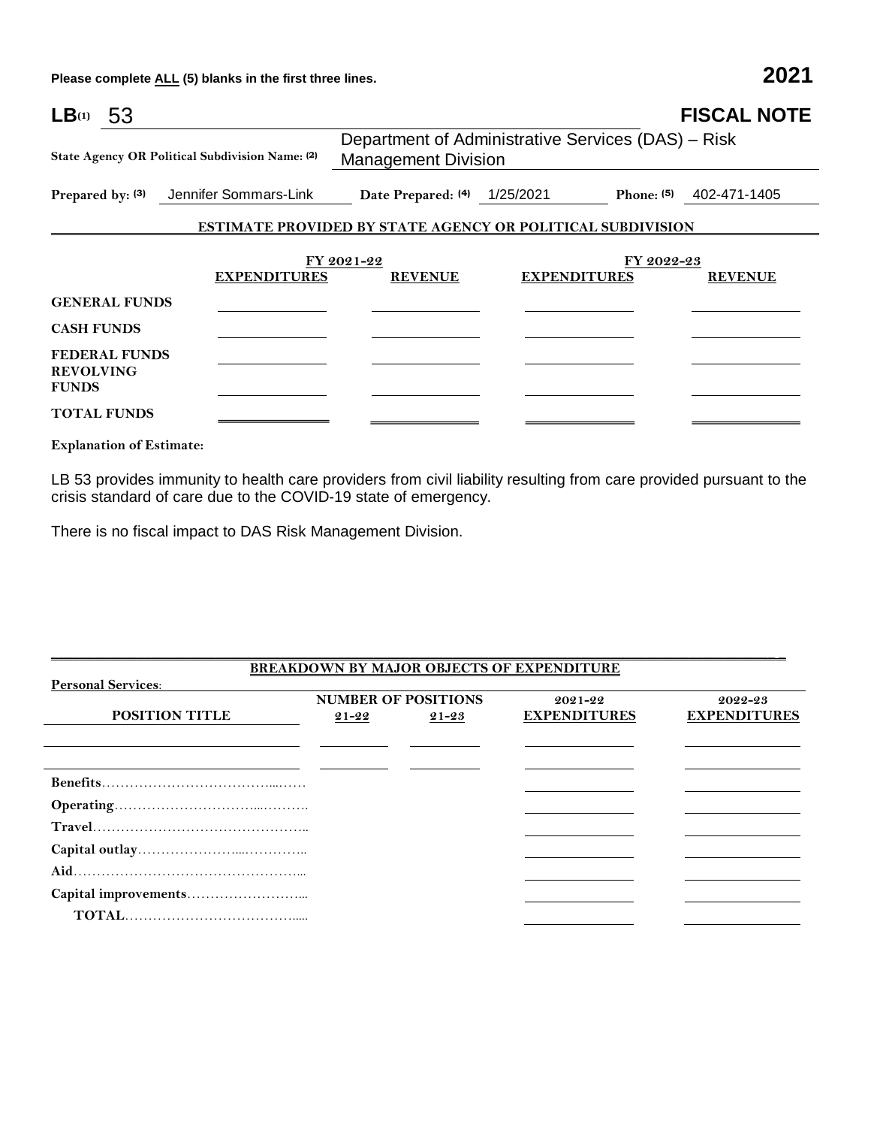**Please complete ALL (5) blanks in the first three lines. 2021**

| LB(1)<br>-53                                             |                                                                     |                                                                                  |                                                                   | <b>FISCAL NOTE</b>      |  |
|----------------------------------------------------------|---------------------------------------------------------------------|----------------------------------------------------------------------------------|-------------------------------------------------------------------|-------------------------|--|
|                                                          | State Agency OR Political Subdivision Name: (2)                     | Department of Administrative Services (DAS) - Risk<br><b>Management Division</b> |                                                                   |                         |  |
|                                                          | Prepared by: (3) Jennifer Sommars-Link Date Prepared: (4) 1/25/2021 |                                                                                  |                                                                   | Phone: (5) 402-471-1405 |  |
|                                                          |                                                                     |                                                                                  | <b>ESTIMATE PROVIDED BY STATE AGENCY OR POLITICAL SUBDIVISION</b> |                         |  |
|                                                          |                                                                     | FY 2021-22                                                                       |                                                                   | FY 2022-23              |  |
|                                                          | <b>EXPENDITURES</b>                                                 | <b>REVENUE</b>                                                                   | <b>EXPENDITURES</b>                                               | <b>REVENUE</b>          |  |
| <b>GENERAL FUNDS</b>                                     |                                                                     |                                                                                  |                                                                   |                         |  |
| <b>CASH FUNDS</b>                                        |                                                                     |                                                                                  |                                                                   |                         |  |
| <b>FEDERAL FUNDS</b><br><b>REVOLVING</b><br><b>FUNDS</b> |                                                                     |                                                                                  |                                                                   |                         |  |
| <b>TOTAL FUNDS</b>                                       |                                                                     |                                                                                  |                                                                   |                         |  |

**Explanation of Estimate:**

LB 53 provides immunity to health care providers from civil liability resulting from care provided pursuant to the crisis standard of care due to the COVID-19 state of emergency.

There is no fiscal impact to DAS Risk Management Division.

|           |           | $2021 - 22$                | 2022-23                                          |
|-----------|-----------|----------------------------|--------------------------------------------------|
| $21 - 22$ | $21 - 23$ | <b>EXPENDITURES</b>        | <b>EXPENDITURES</b>                              |
|           |           |                            |                                                  |
|           |           |                            |                                                  |
|           |           |                            |                                                  |
|           |           |                            |                                                  |
|           |           |                            |                                                  |
|           |           |                            |                                                  |
|           |           |                            |                                                  |
|           |           |                            |                                                  |
|           |           |                            |                                                  |
|           |           |                            |                                                  |
|           |           | <b>NUMBER OF POSITIONS</b> | <b>BREAKDOWN BY MAJOR OBJECTS OF EXPENDITURE</b> |